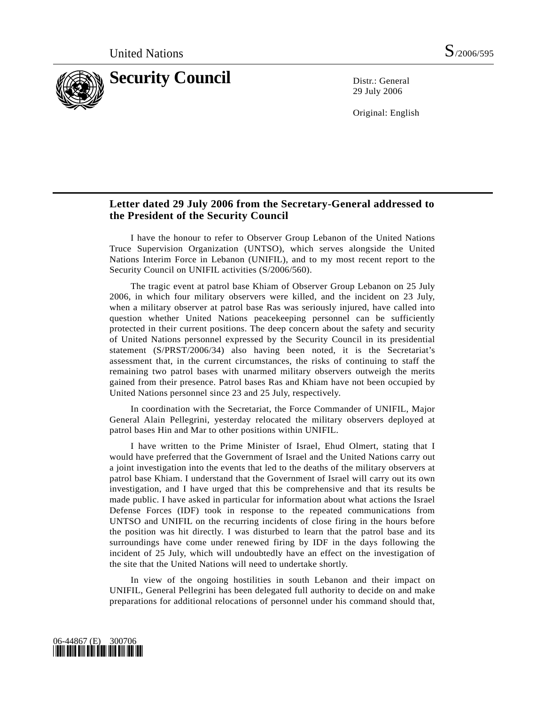

29 July 2006

Original: English

## **Letter dated 29 July 2006 from the Secretary-General addressed to the President of the Security Council**

 I have the honour to refer to Observer Group Lebanon of the United Nations Truce Supervision Organization (UNTSO), which serves alongside the United Nations Interim Force in Lebanon (UNIFIL), and to my most recent report to the Security Council on UNIFIL activities (S/2006/560).

 The tragic event at patrol base Khiam of Observer Group Lebanon on 25 July 2006, in which four military observers were killed, and the incident on 23 July, when a military observer at patrol base Ras was seriously injured, have called into question whether United Nations peacekeeping personnel can be sufficiently protected in their current positions. The deep concern about the safety and security of United Nations personnel expressed by the Security Council in its presidential statement (S/PRST/2006/34) also having been noted, it is the Secretariat's assessment that, in the current circumstances, the risks of continuing to staff the remaining two patrol bases with unarmed military observers outweigh the merits gained from their presence. Patrol bases Ras and Khiam have not been occupied by United Nations personnel since 23 and 25 July, respectively.

 In coordination with the Secretariat, the Force Commander of UNIFIL, Major General Alain Pellegrini, yesterday relocated the military observers deployed at patrol bases Hin and Mar to other positions within UNIFIL.

 I have written to the Prime Minister of Israel, Ehud Olmert, stating that I would have preferred that the Government of Israel and the United Nations carry out a joint investigation into the events that led to the deaths of the military observers at patrol base Khiam. I understand that the Government of Israel will carry out its own investigation, and I have urged that this be comprehensive and that its results be made public. I have asked in particular for information about what actions the Israel Defense Forces (IDF) took in response to the repeated communications from UNTSO and UNIFIL on the recurring incidents of close firing in the hours before the position was hit directly. I was disturbed to learn that the patrol base and its surroundings have come under renewed firing by IDF in the days following the incident of 25 July, which will undoubtedly have an effect on the investigation of the site that the United Nations will need to undertake shortly.

 In view of the ongoing hostilities in south Lebanon and their impact on UNIFIL, General Pellegrini has been delegated full authority to decide on and make preparations for additional relocations of personnel under his command should that,